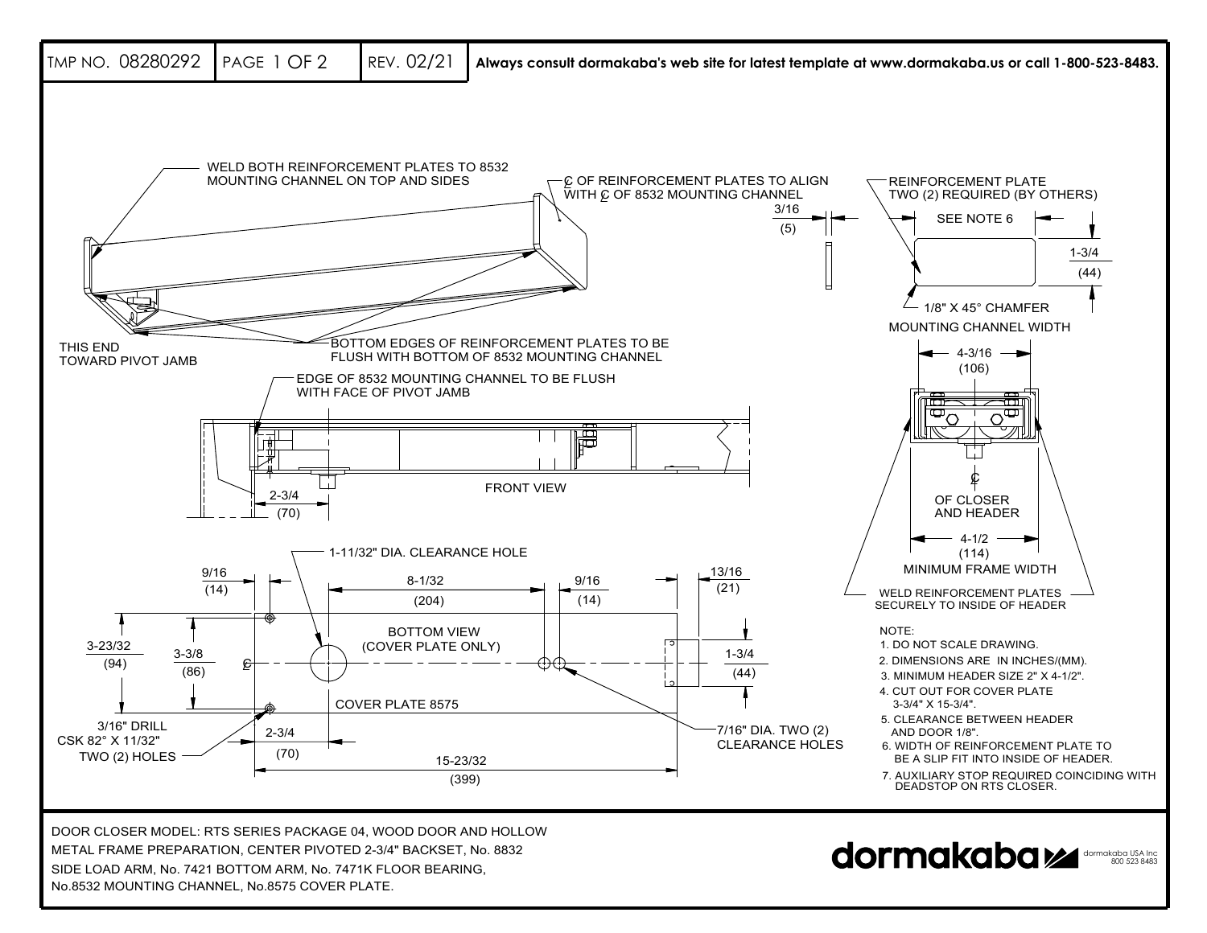